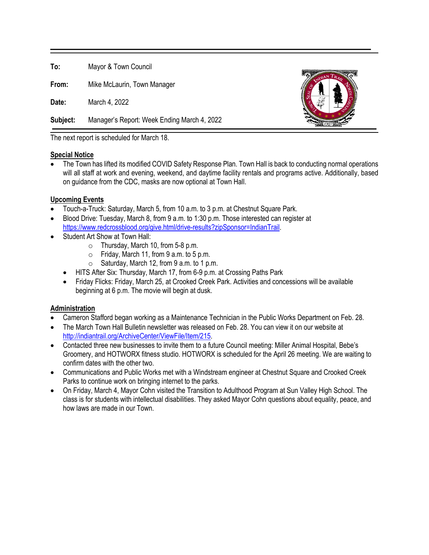**To:** Mayor & Town Council

**From:** Mike McLaurin, Town Manager

**Date:** March 4, 2022

**Subject:** Manager's Report: Week Ending March 4, 2022



The next report is scheduled for March 18.

## **Special Notice**

• The Town has lifted its modified COVID Safety Response Plan. Town Hall is back to conducting normal operations will all staff at work and evening, weekend, and daytime facility rentals and programs active. Additionally, based on guidance from the CDC, masks are now optional at Town Hall.

## **Upcoming Events**

- Touch-a-Truck: Saturday, March 5, from 10 a.m. to 3 p.m. at Chestnut Square Park.
- Blood Drive: Tuesday, March 8, from 9 a.m. to 1:30 p.m. Those interested can register at [https://www.redcrossblood.org/give.html/drive-results?zipSponsor=IndianTrail.](https://www.redcrossblood.org/give.html/drive-results?zipSponsor=IndianTrail)
- Student Art Show at Town Hall:
	- o Thursday, March 10, from 5-8 p.m.
	- $\circ$  Friday, March 11, from 9 a.m. to 5 p.m.
	- $\circ$  Saturday, March 12, from 9 a.m. to 1 p.m.
	- HITS After Six: Thursday, March 17, from 6-9 p.m. at Crossing Paths Park
	- Friday Flicks: Friday, March 25, at Crooked Creek Park. Activities and concessions will be available beginning at 6 p.m. The movie will begin at dusk.

## **Administration**

- Cameron Stafford began working as a Maintenance Technician in the Public Works Department on Feb. 28.
- The March Town Hall Bulletin newsletter was released on Feb. 28. You can view it on our website at [http://indiantrail.org/ArchiveCenter/ViewFile/Item/215.](http://indiantrail.org/ArchiveCenter/ViewFile/Item/215)
- Contacted three new businesses to invite them to a future Council meeting: Miller Animal Hospital, Bebe's Groomery, and HOTWORX fitness studio. HOTWORX is scheduled for the April 26 meeting. We are waiting to confirm dates with the other two.
- Communications and Public Works met with a Windstream engineer at Chestnut Square and Crooked Creek Parks to continue work on bringing internet to the parks.
- On Friday, March 4, Mayor Cohn visited the Transition to Adulthood Program at Sun Valley High School. The class is for students with intellectual disabilities. They asked Mayor Cohn questions about equality, peace, and how laws are made in our Town.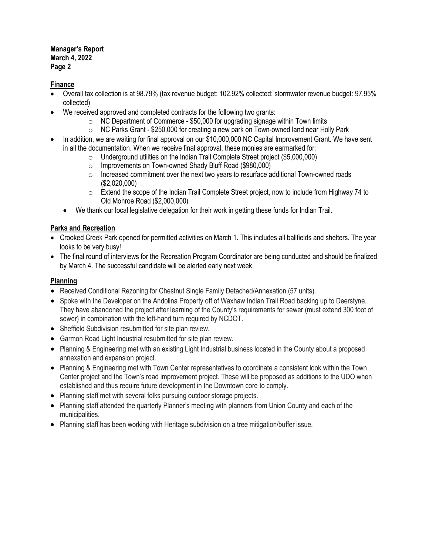#### **Manager's Report March 4, 2022 Page 2**

## **Finance**

- Overall tax collection is at 98.79% (tax revenue budget: 102.92% collected; stormwater revenue budget: 97.95% collected)
- We received approved and completed contracts for the following two grants:
	- $\circ$  NC Department of Commerce \$50,000 for upgrading signage within Town limits
	- $\circ$  NC Parks Grant \$250,000 for creating a new park on Town-owned land near Holly Park
- In addition, we are waiting for final approval on our \$10,000,000 NC Capital Improvement Grant. We have sent in all the documentation. When we receive final approval, these monies are earmarked for:
	- Underground utilities on the Indian Trail Complete Street project (\$5,000,000)<br>○ Improvements on Town-owned Shadv Bluff Road (\$980.000)
	- Improvements on Town-owned Shady Bluff Road (\$980,000)<br>○ Increased commitment over the next two vears to resurface a
	- Increased commitment over the next two years to resurface additional Town-owned roads (\$2,020,000)
	- $\circ$  Extend the scope of the Indian Trail Complete Street project, now to include from Highway 74 to Old Monroe Road (\$2,000,000)
	- We thank our local legislative delegation for their work in getting these funds for Indian Trail.

# **Parks and Recreation**

- Crooked Creek Park opened for permitted activities on March 1. This includes all ballfields and shelters. The year looks to be very busy!
- The final round of interviews for the Recreation Program Coordinator are being conducted and should be finalized by March 4. The successful candidate will be alerted early next week.

# **Planning**

- Received Conditional Rezoning for Chestnut Single Family Detached/Annexation (57 units).
- Spoke with the Developer on the Andolina Property off of Waxhaw Indian Trail Road backing up to Deerstyne. They have abandoned the project after learning of the County's requirements for sewer (must extend 300 foot of sewer) in combination with the left-hand turn required by NCDOT.
- Sheffield Subdivision resubmitted for site plan review.
- Garmon Road Light Industrial resubmitted for site plan review.
- Planning & Engineering met with an existing Light Industrial business located in the County about a proposed annexation and expansion project.
- Planning & Engineering met with Town Center representatives to coordinate a consistent look within the Town Center project and the Town's road improvement project. These will be proposed as additions to the UDO when established and thus require future development in the Downtown core to comply.
- Planning staff met with several folks pursuing outdoor storage projects.
- Planning staff attended the quarterly Planner's meeting with planners from Union County and each of the municipalities.
- Planning staff has been working with Heritage subdivision on a tree mitigation/buffer issue.